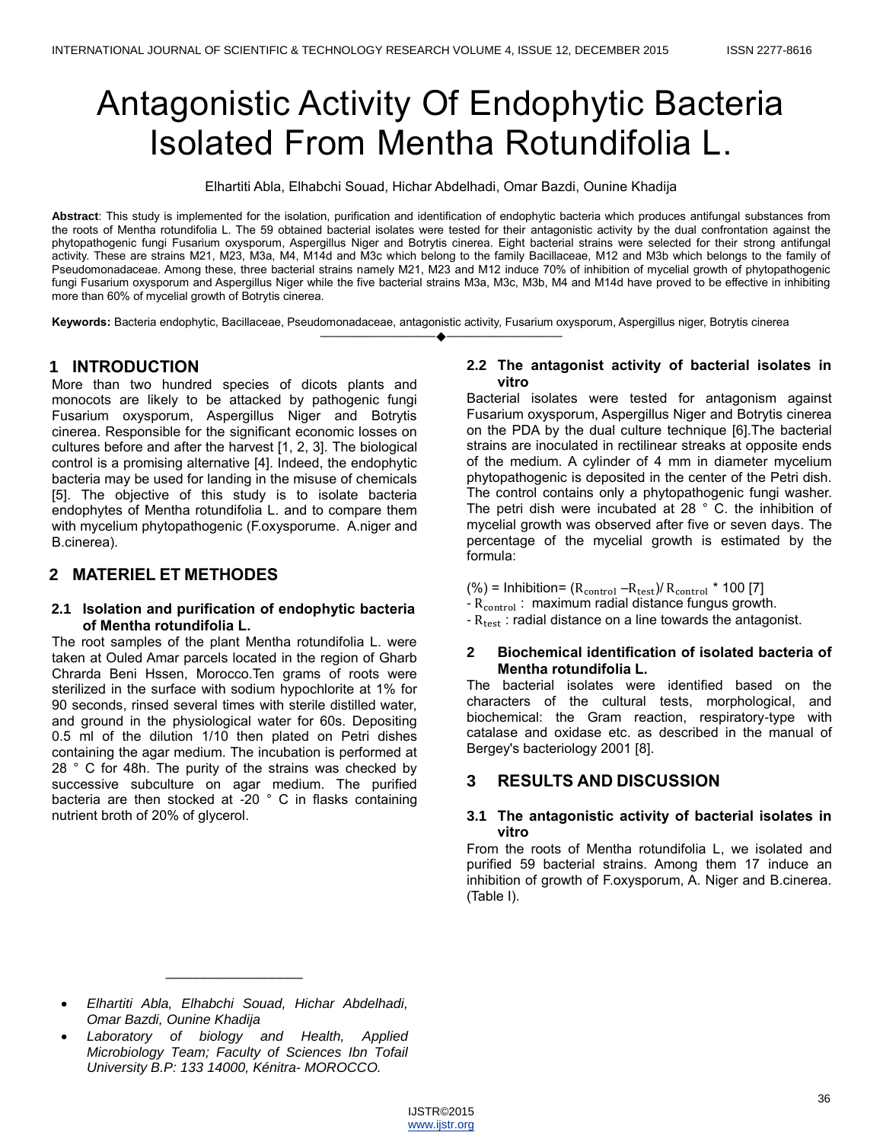# Antagonistic Activity Of Endophytic Bacteria Isolated From Mentha Rotundifolia L.

Elhartiti Abla, Elhabchi Souad, Hichar Abdelhadi, Omar Bazdi, Ounine Khadija

**Abstract**: This study is implemented for the isolation, purification and identification of endophytic bacteria which produces antifungal substances from the roots of Mentha rotundifolia L. The 59 obtained bacterial isolates were tested for their antagonistic activity by the dual confrontation against the phytopathogenic fungi Fusarium oxysporum, Aspergillus Niger and Botrytis cinerea. Eight bacterial strains were selected for their strong antifungal activity. These are strains M21, M23, M3a, M4, M14d and M3c which belong to the family Bacillaceae, M12 and M3b which belongs to the family of Pseudomonadaceae. Among these, three bacterial strains namely M21, M23 and M12 induce 70% of inhibition of mycelial growth of phytopathogenic fungi Fusarium oxysporum and Aspergillus Niger while the five bacterial strains M3a, M3c, M3b, M4 and M14d have proved to be effective in inhibiting more than 60% of mycelial growth of Botrytis cinerea.

————————————————————

**Keywords:** Bacteria endophytic, Bacillaceae, Pseudomonadaceae, antagonistic activity, Fusarium oxysporum, Aspergillus niger, Botrytis cinerea

# **1 INTRODUCTION**

More than two hundred species of dicots plants and monocots are likely to be attacked by pathogenic fungi Fusarium oxysporum, Aspergillus Niger and Botrytis cinerea. Responsible for the significant economic losses on cultures before and after the harvest [1, 2, 3]. The biological control is a promising alternative [4]. Indeed, the endophytic bacteria may be used for landing in the misuse of chemicals [5]. The objective of this study is to isolate bacteria endophytes of Mentha rotundifolia L. and to compare them with mycelium phytopathogenic (F.oxysporume. A.niger and B.cinerea).

# **2 MATERIEL ET METHODES**

## **2.1 Isolation and purification of endophytic bacteria of Mentha rotundifolia L.**

The root samples of the plant Mentha rotundifolia L. were taken at Ouled Amar parcels located in the region of Gharb Chrarda Beni Hssen, Morocco.Ten grams of roots were sterilized in the surface with sodium hypochlorite at 1% for 90 seconds, rinsed several times with sterile distilled water, and ground in the physiological water for 60s. Depositing 0.5 ml of the dilution 1/10 then plated on Petri dishes containing the agar medium. The incubation is performed at 28 ° C for 48h. The purity of the strains was checked by successive subculture on agar medium. The purified bacteria are then stocked at -20 ° C in flasks containing nutrient broth of 20% of glycerol.

### **2.2 The antagonist activity of bacterial isolates in vitro**

Bacterial isolates were tested for antagonism against Fusarium oxysporum, Aspergillus Niger and Botrytis cinerea on the PDA by the dual culture technique [6].The bacterial strains are inoculated in rectilinear streaks at opposite ends of the medium. A cylinder of 4 mm in diameter mycelium phytopathogenic is deposited in the center of the Petri dish. The control contains only a phytopathogenic fungi washer. The petri dish were incubated at 28 ° C. the inhibition of mycelial growth was observed after five or seven days. The percentage of the mycelial growth is estimated by the formula:

 $(\%)$  = Inhibition=  $(R_{control} - R_{test})/R_{control} * 100$  [7]

- $-R_{control}$ : maximum radial distance fungus growth.
- $-R_{test}$ : radial distance on a line towards the antagonist.

## **2 Biochemical identification of isolated bacteria of Mentha rotundifolia L.**

The bacterial isolates were identified based on the characters of the cultural tests, morphological, and biochemical: the Gram reaction, respiratory-type with catalase and oxidase etc. as described in the manual of Bergey's bacteriology 2001 [8].

# **3 RESULTS AND DISCUSSION**

### **3.1 The antagonistic activity of bacterial isolates in vitro**

From the roots of Mentha rotundifolia L, we isolated and purified 59 bacterial strains. Among them 17 induce an inhibition of growth of F.oxysporum, A. Niger and B.cinerea. (Table I).

 *Elhartiti Abla, Elhabchi Souad, Hichar Abdelhadi, Omar Bazdi, Ounine Khadija*

\_\_\_\_\_\_\_\_\_\_\_\_\_\_\_\_\_\_

 *Laboratory of biology and Health, Applied Microbiology Team; Faculty of Sciences Ibn Tofail University B.P: 133 14000, Kénitra- MOROCCO.*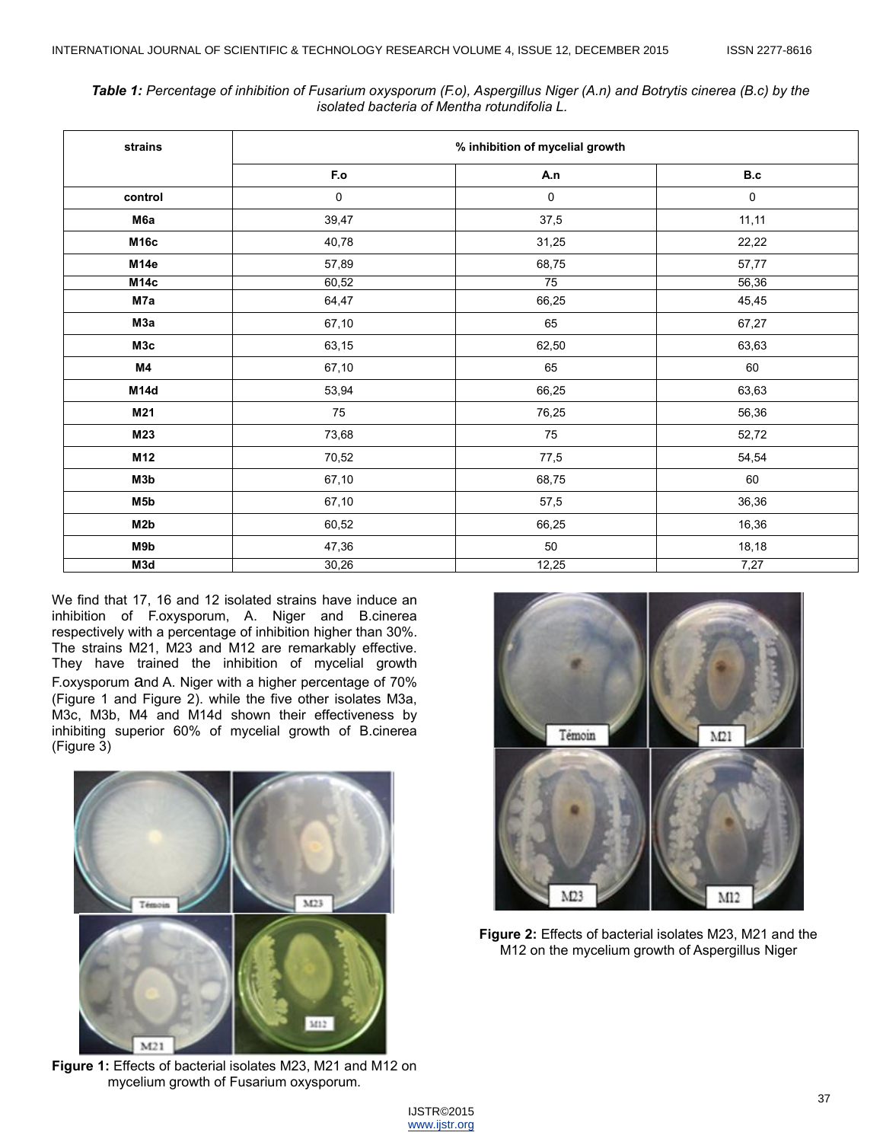*Table 1: Percentage of inhibition of Fusarium oxysporum (F.o), Aspergillus Niger (A.n) and Botrytis cinerea (B.c) by the isolated bacteria of Mentha rotundifolia L.*  **strains % inhibition of mycelial growth F.o A.n B.c control** 0 0 0

**M6a** 39,47 37,5 11,11 **M16c** 40,78 31,25 22,22 **M14e** 57,89 68,75 57,77 **M14c** 60,52 75 56,36 **M7a** 64,47 66,25 45,45 **M3a** 67,10 65 67,27 **M3c** 63,15 62,50 63,63 **M4** 67,10 65 60 **M14d**  $\qquad \qquad \begin{array}{ccc} 66,25 \end{array}$  63,63 **M21 M21** 75 75 76,25 76,36 **M23** 8 73,68 52,72 **M12** 854,54 **M3b** 67,10 68,75 60 **M5b** 67,10 57,5 36,36 **M2b** 60,52 66,25 16,36 **M9b** 18,18

| We find that 17, 16 and 12 isolated strains have induce an<br>inhibition of F.oxysporum, A. Niger and B.cinerea<br>respectively with a percentage of inhibition higher than 30%.<br>The strains M21, M23 and M12 are remarkably effective. |
|--------------------------------------------------------------------------------------------------------------------------------------------------------------------------------------------------------------------------------------------|
| They have trained the inhibition of mycelial growth                                                                                                                                                                                        |
| F.oxysporum and A. Niger with a higher percentage of 70%<br>(Figure 1 and Figure 2). while the five other isolates M3a,<br>M3c, M3b, M4 and M14d shown their effectiveness by                                                              |
| inhibiting superior 60% of mycelial growth of B.cinerea<br>(Figure 3)                                                                                                                                                                      |



**Figure 1:** Effects of bacterial isolates M23, M21 and M12 on mycelium growth of Fusarium oxysporum.



**Figure 2:** Effects of bacterial isolates M23, M21 and the M12 on the mycelium growth of Aspergillus Niger

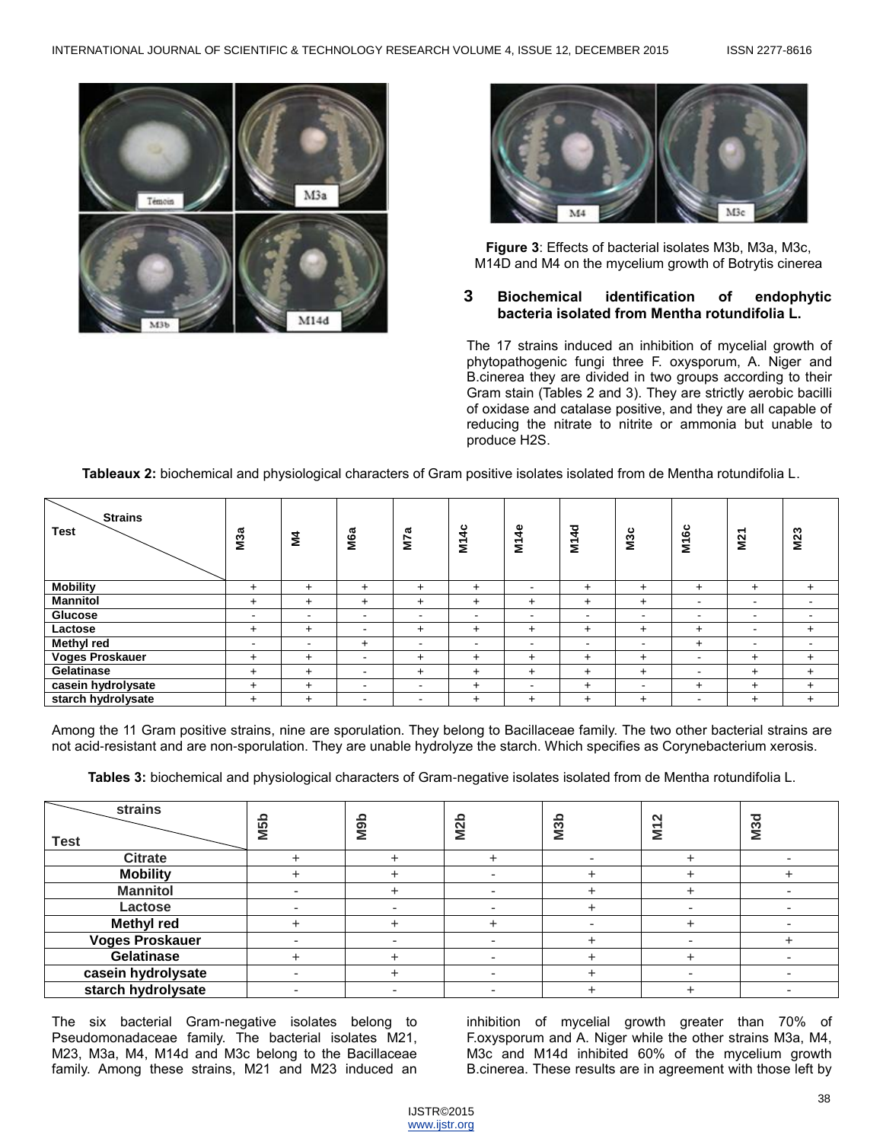



**Figure 3**: Effects of bacterial isolates M3b, M3a, M3c, M14D and M4 on the mycelium growth of Botrytis cinerea

## **3 Biochemical identification of endophytic bacteria isolated from Mentha rotundifolia L.**

The 17 strains induced an inhibition of mycelial growth of phytopathogenic fungi three F. oxysporum, A. Niger and B.cinerea they are divided in two groups according to their Gram stain (Tables 2 and 3). They are strictly aerobic bacilli of oxidase and catalase positive, and they are all capable of reducing the nitrate to nitrite or ammonia but unable to produce H2S.

**Tableaux 2:** biochemical and physiological characters of Gram positive isolates isolated from de Mentha rotundifolia L.

| <b>Strains</b><br><b>Test</b> | M <sub>3a</sub>          | Š,                       | M6a                      | M7a            | <b>M14c</b>              | M14e                     | <b>M14d</b>              | M3c                      | <b>M16c</b>              | M21                      | M23                      |
|-------------------------------|--------------------------|--------------------------|--------------------------|----------------|--------------------------|--------------------------|--------------------------|--------------------------|--------------------------|--------------------------|--------------------------|
| <b>Mobility</b>               | $+$                      | $\ddot{}$                | ÷                        | $\ddot{}$      | $\ddot{}$                | -                        | $\ddot{}$                | $+$                      | $\ddot{}$                | $\ddot{}$                | $+$                      |
| <b>Mannitol</b>               | $\ddot{}$                | $\ddot{}$                | $\ddot{}$                | $\ddot{}$      | $\ddot{}$                | $\ddot{}$                | $\ddot{}$                | $+$                      | $\,$ $\,$                |                          |                          |
| Glucose                       | -                        | $\overline{\phantom{a}}$ | $\overline{\phantom{a}}$ | $\blacksquare$ | $\overline{\phantom{a}}$ | $\blacksquare$           | $\overline{\phantom{0}}$ | $\overline{\phantom{a}}$ | $\overline{\phantom{a}}$ | $\overline{\phantom{0}}$ |                          |
| Lactose                       | $\ddot{}$                | $\ddot{}$                | $\overline{\phantom{a}}$ | $\ddot{}$      | $\ddot{}$                | $\ddot{}$                | $\ddot{}$                | $+$                      | $\ddot{}$                | $\overline{\phantom{a}}$ | $+$                      |
| <b>Methyl red</b>             | $\overline{\phantom{a}}$ | $\overline{\phantom{a}}$ | $+$                      | $\blacksquare$ | $\,$ $\,$                | $\blacksquare$           | $\overline{\phantom{a}}$ | $\overline{\phantom{a}}$ | $\ddot{}$                | $\overline{\phantom{0}}$ | $\overline{\phantom{a}}$ |
| <b>Voges Proskauer</b>        | $+$                      | $\div$                   | $\overline{\phantom{a}}$ | $\div$         | $\ddot{}$                | $\ddot{}$                | $\pm$                    | $+$                      | $\,$ $\,$                | $\div$                   | $\ddot{}$                |
| Gelatinase                    | $\ddot{}$                | $\ddot{}$                | $\overline{\phantom{a}}$ | $\ddot{}$      | $\ddot{}$                | $\ddot{}$                | $\ddot{}$                | $+$                      | $\,$ $\,$                | $\ddot{}$                | $\ddot{}$                |
| casein hydrolysate            | $\ddot{}$                | $\ddot{}$                | $\overline{\phantom{a}}$ | -              | $+$                      | $\overline{\phantom{0}}$ | ÷                        | $\blacksquare$           | $\ddot{}$                | $\ddot{}$                | $+$                      |
| starch hydrolysate            | $\ddot{}$                | +                        | -                        | -              | $\ddot{}$                | $\ddot{}$                | $\pm$                    | $\pm$                    | $\overline{\phantom{0}}$ | $\ddot{}$                | $\ddot{}$                |

Among the 11 Gram positive strains, nine are sporulation. They belong to Bacillaceae family. The two other bacterial strains are not acid-resistant and are non-sporulation. They are unable hydrolyze the starch. Which specifies as Corynebacterium xerosis.

**Tables 3:** biochemical and physiological characters of Gram-negative isolates isolated from de Mentha rotundifolia L.

| strains<br><b>Test</b> | M <sub>5b</sub> | deM | $\overline{\mathsf{M}}$ | M <sub>3</sub> b | $\mathbf{\Omega}$<br>Ξ | M <sub>3d</sub> |
|------------------------|-----------------|-----|-------------------------|------------------|------------------------|-----------------|
| <b>Citrate</b>         |                 |     |                         |                  |                        |                 |
| <b>Mobility</b>        |                 |     |                         |                  |                        |                 |
| <b>Mannitol</b>        |                 |     |                         |                  |                        |                 |
| Lactose                |                 |     |                         |                  |                        |                 |
| <b>Methyl red</b>      |                 |     |                         |                  |                        |                 |
| <b>Voges Proskauer</b> |                 |     |                         |                  |                        |                 |
| Gelatinase             |                 |     |                         |                  |                        |                 |
| casein hydrolysate     |                 |     |                         |                  |                        |                 |
| starch hydrolysate     |                 |     |                         |                  |                        |                 |

The six bacterial Gram-negative isolates belong to Pseudomonadaceae family. The bacterial isolates M21, M23, M3a, M4, M14d and M3c belong to the Bacillaceae family. Among these strains, M21 and M23 induced an inhibition of mycelial growth greater than 70% of F.oxysporum and A. Niger while the other strains M3a, M4, M3c and M14d inhibited 60% of the mycelium growth B.cinerea. These results are in agreement with those left by